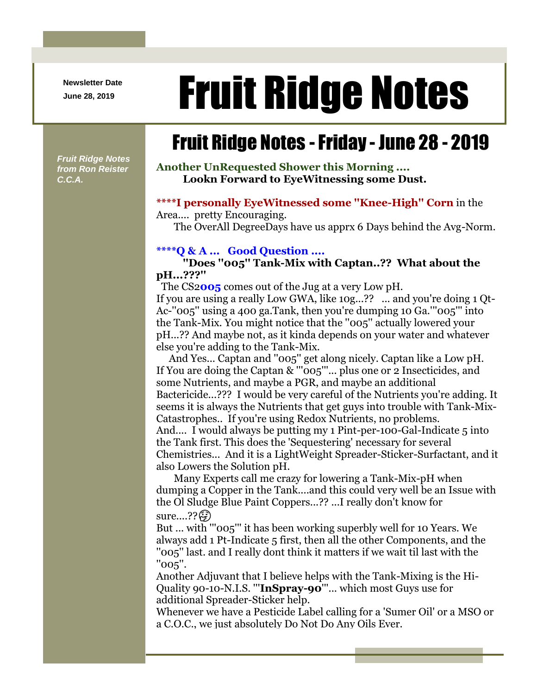**Newsletter Date**

# Newsletter Date **Fruit Ridge Notes**

## Fruit Ridge Notes -Friday - June 28 - 2019

*Fruit Ridge Notes from Ron Reister C.C.A.*

**Another UnRequested Shower this Morning .... Lookn Forward to EyeWitnessing some Dust.**

#### **\*\*\*\*I personally EyeWitnessed some ''Knee-High'' Corn** in the

Area.... pretty Encouraging.

The OverAll DegreeDays have us apprx 6 Days behind the Avg-Norm.

#### **\*\*\*\*Q & A ... Good Question ....**

**''Does ''005'' Tank-Mix with Captan..?? What about the pH...???''**

The CS2**005** comes out of the Jug at a very Low pH. If you are using a really Low GWA, like 10g...?? ... and you're doing 1 Qt-Ac-''005'' using a 400 ga.Tank, then you're dumping 10 Ga.'''005''' into the Tank-Mix. You might notice that the ''005'' actually lowered your pH...?? And maybe not, as it kinda depends on your water and whatever else you're adding to the Tank-Mix.

And Yes... Captan and ''005'' get along nicely. Captan like a Low pH. If You are doing the Captan & '''005'''... plus one or 2 Insecticides, and some Nutrients, and maybe a PGR, and maybe an additional Bactericide...??? I would be very careful of the Nutrients you're adding. It seems it is always the Nutrients that get guys into trouble with Tank-Mix-Catastrophes.. If you're using Redox Nutrients, no problems. And.... I would always be putting my 1 Pint-per-100-Gal-Indicate 5 into the Tank first. This does the 'Sequestering' necessary for several Chemistries... And it is a LightWeight Spreader-Sticker-Surfactant, and it also Lowers the Solution pH.

Many Experts call me crazy for lowering a Tank-Mix-pH when dumping a Copper in the Tank....and this could very well be an Issue with the Ol Sludge Blue Paint Coppers...?? ...I really don't know for sure....?? (<del>3</del>)

But ... with '''005''' it has been working superbly well for 10 Years. We always add 1 Pt-Indicate 5 first, then all the other Components, and the ''005'' last. and I really dont think it matters if we wait til last with the ''005''.

Another Adjuvant that I believe helps with the Tank-Mixing is the Hi-Quality 90-10-N.I.S. '''**InSpray-90**'''... which most Guys use for additional Spreader-Sticker help.

Whenever we have a Pesticide Label calling for a 'Sumer Oil' or a MSO or a C.O.C., we just absolutely Do Not Do Any Oils Ever.